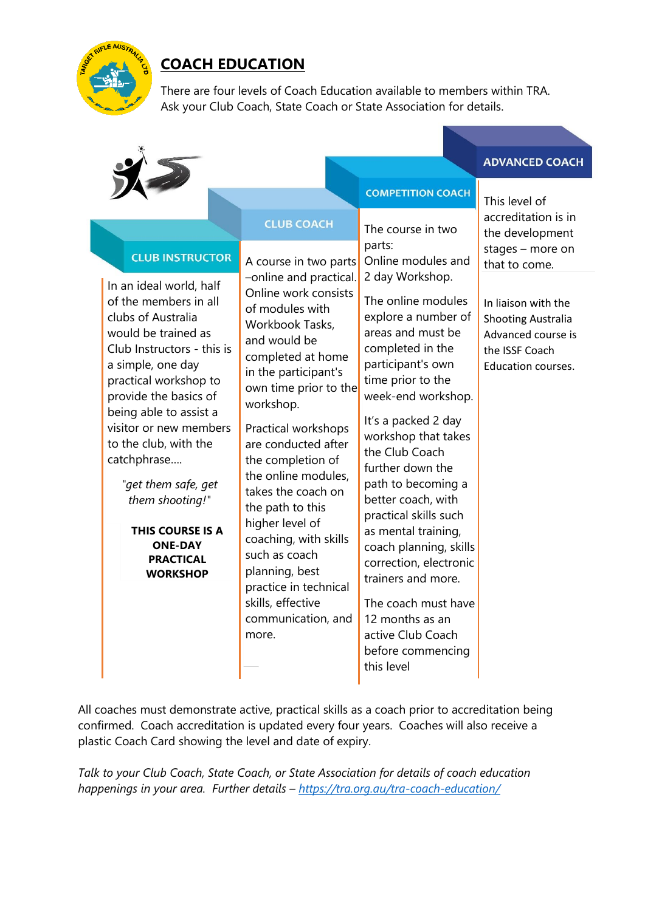

# **COACH EDUCATION**

There are four levels of Coach Education available to members within TRA. Ask your Club Coach, State Coach or State Association for details.

## **ADVANCED COACH**

h

|                                                                                                                                                                                                                                                                                                                                                                                                                                                 |                                                                                                                                                                                                                                                                                                                                                                                                                                                                                                                  | <b>COMPETITION COACH</b>                                                                                                                                                                                                                                                                                                                                                                                                                                                                                                                                          | This level of                                                                                                                                       |
|-------------------------------------------------------------------------------------------------------------------------------------------------------------------------------------------------------------------------------------------------------------------------------------------------------------------------------------------------------------------------------------------------------------------------------------------------|------------------------------------------------------------------------------------------------------------------------------------------------------------------------------------------------------------------------------------------------------------------------------------------------------------------------------------------------------------------------------------------------------------------------------------------------------------------------------------------------------------------|-------------------------------------------------------------------------------------------------------------------------------------------------------------------------------------------------------------------------------------------------------------------------------------------------------------------------------------------------------------------------------------------------------------------------------------------------------------------------------------------------------------------------------------------------------------------|-----------------------------------------------------------------------------------------------------------------------------------------------------|
|                                                                                                                                                                                                                                                                                                                                                                                                                                                 | <b>CLUB COACH</b>                                                                                                                                                                                                                                                                                                                                                                                                                                                                                                | The course in two                                                                                                                                                                                                                                                                                                                                                                                                                                                                                                                                                 | accreditation is in<br>the development                                                                                                              |
| <b>CLUB INSTRUCTOR</b><br>In an ideal world, half<br>of the members in all<br>clubs of Australia<br>would be trained as<br>Club Instructors - this is<br>a simple, one day<br>practical workshop to<br>provide the basics of<br>being able to assist a<br>visitor or new members<br>to the club, with the<br>catchphrase<br>"get them safe, get<br>them shooting!"<br>THIS COURSE IS A<br><b>ONE-DAY</b><br><b>PRACTICAL</b><br><b>WORKSHOP</b> | A course in two parts<br>-online and practical.<br>Online work consists<br>of modules with<br>Workbook Tasks,<br>and would be<br>completed at home<br>in the participant's<br>own time prior to the<br>workshop.<br>Practical workshops<br>are conducted after<br>the completion of<br>the online modules,<br>takes the coach on<br>the path to this<br>higher level of<br>coaching, with skills<br>such as coach<br>planning, best<br>practice in technical<br>skills, effective<br>communication, and<br>more. | parts:<br>Online modules and<br>2 day Workshop.<br>The online modules<br>explore a number of<br>areas and must be<br>completed in the<br>participant's own<br>time prior to the<br>week-end workshop.<br>It's a packed 2 day<br>workshop that takes<br>the Club Coach<br>further down the<br>path to becoming a<br>better coach, with<br>practical skills such<br>as mental training,<br>coach planning, skills<br>correction, electronic<br>trainers and more.<br>The coach must have<br>12 months as an<br>active Club Coach<br>before commencing<br>this level | stages - more on<br>that to come.<br>In liaison with the<br><b>Shooting Australia</b><br>Advanced course is<br>the ISSF Coach<br>Education courses. |
|                                                                                                                                                                                                                                                                                                                                                                                                                                                 |                                                                                                                                                                                                                                                                                                                                                                                                                                                                                                                  |                                                                                                                                                                                                                                                                                                                                                                                                                                                                                                                                                                   |                                                                                                                                                     |

All coaches must demonstrate active, practical skills as a coach prior to accreditation being confirmed. Coach accreditation is updated every four years. Coaches will also receive a plastic Coach Card showing the level and date of expiry.

*Talk to your Club Coach, State Coach, or State Association for details of coach education happenings in your area. Further details – <https://tra.org.au/tra-coach-education/>*